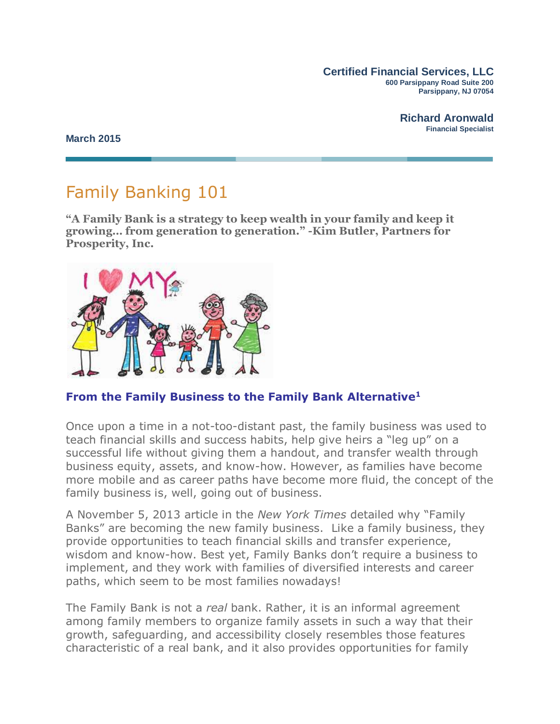**Certified Financial Services, LLC 600 Parsippany Road Suite 200 Parsippany, NJ 07054**

> **Richard Aronwald Financial Specialist**

**March 2015**

# Family Banking 101

**"A Family Bank is a strategy to keep wealth in your family and keep it growing***…* **from generation to generation." -Kim Butler, Partners for Prosperity, Inc.**



**From the Family Business to the Family Bank Alternative<sup>1</sup>**

Once upon a time in a not-too-distant past, the family business was used to teach financial skills and success habits, help give heirs a "leg up" on a successful life without giving them a handout, and transfer wealth through business equity, assets, and know-how. However, as families have become more mobile and as career paths have become more fluid, the concept of the family business is, well, going out of business.

A November 5, 2013 article in the *New York Times* detailed why "Family Banks" are becoming the new family business. Like a family business, they provide opportunities to teach financial skills and transfer experience, wisdom and know-how. Best yet, Family Banks don't require a business to implement, and they work with families of diversified interests and career paths, which seem to be most families nowadays!

The Family Bank is not a *real* bank. Rather, it is an informal agreement among family members to organize family assets in such a way that their growth, safeguarding, and accessibility closely resembles those features characteristic of a real bank, and it also provides opportunities for family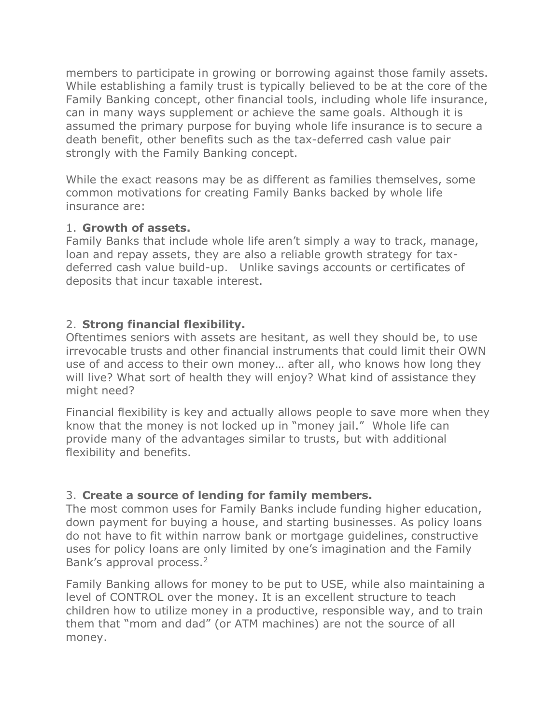members to participate in growing or borrowing against those family assets. While establishing a family trust is typically believed to be at the core of the Family Banking concept, other financial tools, including whole life insurance, can in many ways supplement or achieve the same goals. Although it is assumed the primary purpose for buying whole life insurance is to secure a death benefit, other benefits such as the tax-deferred cash value pair strongly with the Family Banking concept.

While the exact reasons may be as different as families themselves, some common motivations for creating Family Banks backed by whole life insurance are:

#### 1. **Growth of assets.**

Family Banks that include whole life aren't simply a way to track, manage, loan and repay assets, they are also a reliable growth strategy for taxdeferred cash value build-up. Unlike savings accounts or certificates of deposits that incur taxable interest.

#### 2. **Strong financial flexibility.**

Oftentimes seniors with assets are hesitant, as well they should be, to use irrevocable trusts and other financial instruments that could limit their OWN use of and access to their own money… after all, who knows how long they will live? What sort of health they will enjoy? What kind of assistance they might need?

Financial flexibility is key and actually allows people to save more when they know that the money is not locked up in "money jail." Whole life can provide many of the advantages similar to trusts, but with additional flexibility and benefits.

### 3. **Create a source of lending for family members.**

The most common uses for Family Banks include funding higher education, down payment for buying a house, and starting businesses. As policy loans do not have to fit within narrow bank or mortgage guidelines, constructive uses for policy loans are only limited by one's imagination and the Family Bank's approval process.<sup>2</sup>

Family Banking allows for money to be put to USE, while also maintaining a level of CONTROL over the money. It is an excellent structure to teach children how to utilize money in a productive, responsible way, and to train them that "mom and dad" (or ATM machines) are not the source of all money.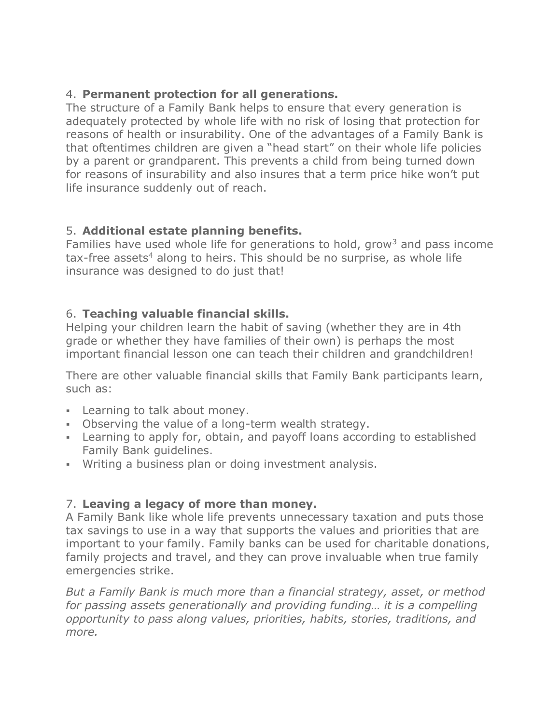## 4. **Permanent protection for all generations.**

The structure of a Family Bank helps to ensure that every generation is adequately protected by whole life with no risk of losing that protection for reasons of health or insurability. One of the advantages of a Family Bank is that oftentimes children are given a "head start" on their whole life policies by a parent or grandparent. This prevents a child from being turned down for reasons of insurability and also insures that a term price hike won't put life insurance suddenly out of reach.

# 5. **Additional estate planning benefits.**

Families have used whole life for generations to hold, grow<sup>3</sup> and pass income  $tax-free assets<sup>4</sup>$  along to heirs. This should be no surprise, as whole life insurance was designed to do just that!

## 6. **Teaching valuable financial skills.**

Helping your children learn the habit of saving (whether they are in 4th grade or whether they have families of their own) is perhaps the most important financial lesson one can teach their children and grandchildren!

There are other valuable financial skills that Family Bank participants learn, such as:

- **Learning to talk about money.**
- Observing the value of a long-term wealth strategy.
- Learning to apply for, obtain, and payoff loans according to established Family Bank guidelines.
- Writing a business plan or doing investment analysis.

# 7. **Leaving a legacy of more than money.**

A Family Bank like whole life prevents unnecessary taxation and puts those tax savings to use in a way that supports the values and priorities that are important to your family. Family banks can be used for charitable donations, family projects and travel, and they can prove invaluable when true family emergencies strike.

*But a Family Bank is much more than a financial strategy, asset, or method for passing assets generationally and providing funding… it is a compelling opportunity to pass along values, priorities, habits, stories, traditions, and more.*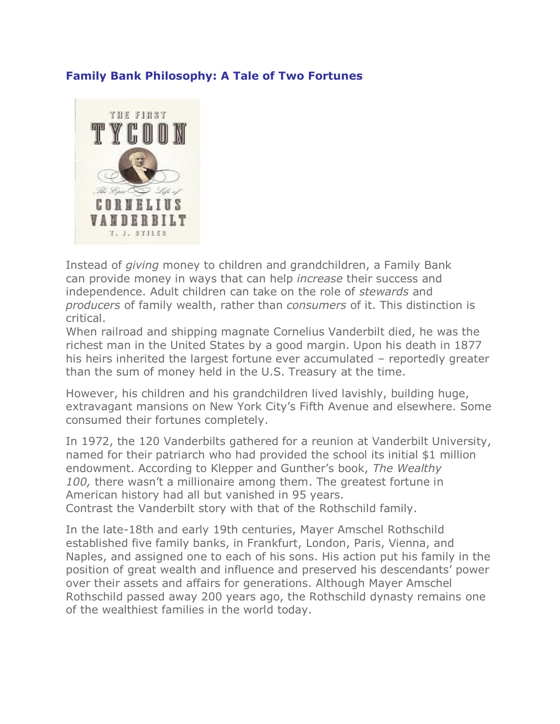#### **Family Bank Philosophy: A Tale of Two Fortunes**



Instead of *giving* money to children and grandchildren, a Family Bank can provide money in ways that can help *increase* their success and independence. Adult children can take on the role of *stewards* and *producers* of family wealth, rather than *consumers* of it. This distinction is critical.

When railroad and shipping magnate Cornelius Vanderbilt died, he was the richest man in the United States by a good margin. Upon his death in 1877 his heirs inherited the largest fortune ever accumulated – reportedly greater than the sum of money held in the U.S. Treasury at the time.

However, his children and his grandchildren lived lavishly, building huge, extravagant mansions on New York City's Fifth Avenue and elsewhere. Some consumed their fortunes completely.

In 1972, the 120 Vanderbilts gathered for a reunion at Vanderbilt University, named for their patriarch who had provided the school its initial \$1 million endowment. According to Klepper and Gunther's book, *The Wealthy 100,* there wasn't a millionaire among them. The greatest fortune in American history had all but vanished in 95 years. Contrast the Vanderbilt story with that of the Rothschild family.

In the late-18th and early 19th centuries, Mayer Amschel Rothschild established five family banks, in Frankfurt, London, Paris, Vienna, and Naples, and assigned one to each of his sons. His action put his family in the position of great wealth and influence and preserved his descendants' power over their assets and affairs for generations. Although Mayer Amschel Rothschild passed away 200 years ago, the Rothschild dynasty remains one of the wealthiest families in the world today.